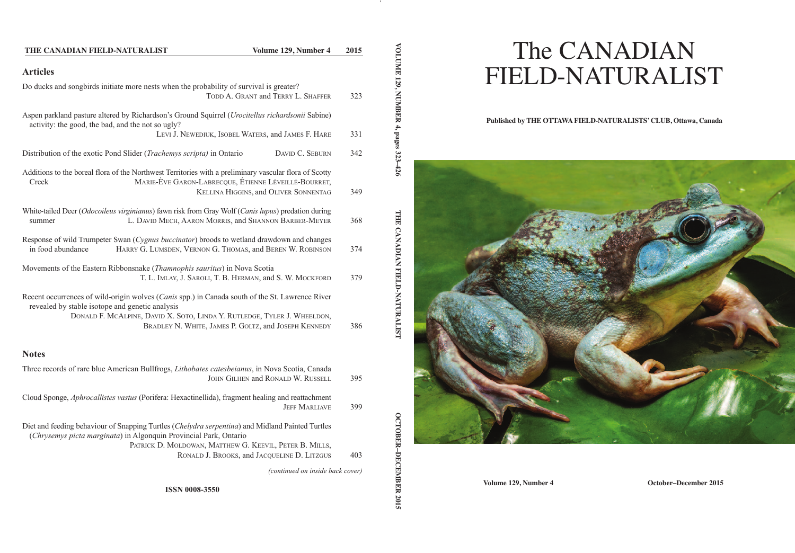# **Articles** Do ducks and songbirds initiate more nests when the probability of survival is greater? TODD A. GRANT and TERRY L. SHAFFER 323 Aspen parkland pasture altered by Richardson's Ground Squirrel (*Urocitellus richardsonii* Sabine) activity: the good, the bad, and the not so ugly? LEVI J. NEWEDIUK, ISOBEL WATERS, and JAMES F. HARE 331 Distribution of the exotic Pond Slider (*Trachemys scripta*) in Ontario DAVID C. SEBURN 342 Additions to the boreal flora of the Northwest Territories with a preliminary vascular flora of Scotty Creek MARIE-ÈVE GARON-LABRECQUE, ÉTIENNE LÉVEILLÉ-BOURRET, KELLINA HIGGINS, and OLIVER SONNENTAG 349 White-tailed Deer (*Odocoileus virginianus*) fawn risk from Gray Wolf (*Canis lupus*) predation during summer **L. DAVID MECH, AARON MORRIS, and SHANNON BARBER-MEYER** 368 Response of wild Trumpeter Swan (*Cygnus buccinator*) broods to wetland drawdown and changes in food abundance HARRY G. LUMSDEN, VERNON G. THOMAS, and BEREN W. ROBINSON 374 Movements of the Eastern Ribbonsnake (*Thamnophis sauritus*) in Nova Scotia T. L. IMLAY, J. SAROLI, T. B. HERMAN, and S. W. MOCKFORD 379 Recent occurrences of wild-origin wolves (*Canis* spp.) in Canada south of the St. Lawrence River revealed by stable isotope and genetic analysis DONALD F. MCALPINE, DAVID X. SOTO, LINDA Y. RUTLEDGE, TYLER J. WHEELDON, BRADLEY N. WHITE, JAMES P. GOLTZ, and JOSEPH KENNEDY 386 **Notes** Three records of rare blue American Bullfrogs, *Lithobates catesbeianus*, in Nova Scotia, Canada **THE CANADIAN FIELD-NATURALIST Volume 129, Number 4 2015**

JOHN GILHEN and RONALD W. RUSSELL 395 Cloud Sponge, *Aphrocallistes vastus* (Porifera: Hexactinellida), fragment healing and reattachment JEFF MARLIAVE 399 Diet and feeding behaviour of Snapping Turtles (*Chelydra serpentina*) and Midland Painted Turtles (*Chrysemys picta marginata*) in Algonquin Provincial Park, Ontario PATRICK D. MOLDOWAN, MATTHEW G. KEEVIL, PETER B. MILLS, RONALD J. BROOKS, and JACQUELINE D. LITZGUS 403 *(continued on inside back cover)* **ISSN 0008-3550**

# The CANADIAN FIELD-NATURALIST

#### **Published by THE OTTAWA FIELD-NATURALISTS' CLUB, Ottawa, Canada**



**VOLUME** 

**129,**

**MBBBBBBBBB** 

**4,**

**2015**

**Volume 129, Number 4 October–December 2015**